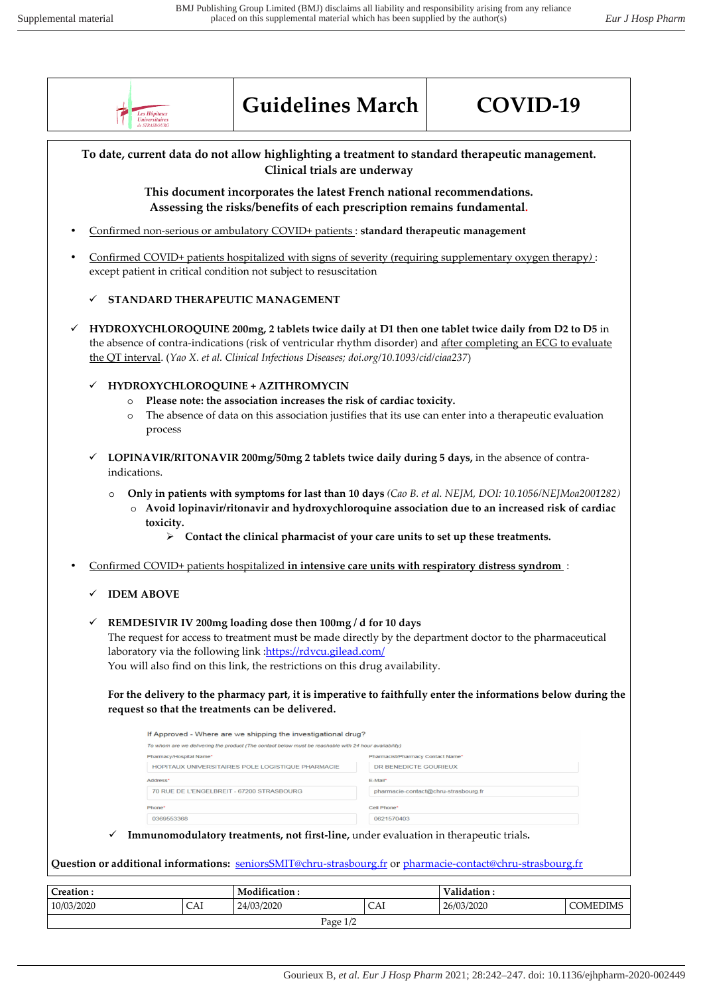

## **Guidelines March COVID-19**



**To date, current data do not allow highlighting a treatment to standard therapeutic management. Clinical trials are underway This document incorporates the latest French national recommendations. Assessing the risks/benefits of each prescription remains fundamental.**  • Confirmed non-serious or ambulatory COVID+ patients : **standard therapeutic management**  • Confirmed COVID+ patients hospitalized with signs of severity (requiring supplementary oxygen therapy*)* : except patient in critical condition not subject to resuscitation **STANDARD THERAPEUTIC MANAGEMENT HYDROXYCHLOROQUINE 200mg, 2 tablets twice daily at D1 then one tablet twice daily from D2 to D5** in the absence of contra-indications (risk of ventricular rhythm disorder) and after completing an ECG to evaluate the QT interval. (*Yao X. et al. Clinical Infectious Diseases; doi.org/10.1093/cid/ciaa237*) **HYDROXYCHLOROQUINE + AZITHROMYCIN**  o **Please note: the association increases the risk of cardiac toxicity.**  o The absence of data on this association justifies that its use can enter into a therapeutic evaluation process **LOPINAVIR/RITONAVIR 200mg/50mg 2 tablets twice daily during 5 days,** in the absence of contraindications. o **Only in patients with symptoms for last than 10 days** *(Cao B. et al. NEJM, DOI: 10.1056/NEJMoa2001282)* o **Avoid lopinavir/ritonavir and hydroxychloroquine association due to an increased risk of cardiac toxicity.** - **Contact the clinical pharmacist of your care units to set up these treatments.** • Confirmed COVID+ patients hospitalized **in intensive care units with respiratory distress syndrom** : **IDEM ABOVE REMDESIVIR IV 200mg loading dose then 100mg / d for 10 days**  The request for access to treatment must be made directly by the department doctor to the pharmaceutical laboratory via the following link : https://rdvcu.gilead.com/ You will also find on this link, the restrictions on this drug availability. **For the delivery to the pharmacy part, it is imperative to faithfully enter the informations below during the request so that the treatments can be delivered.**  If Approved - Where are we shipping the investigational drug? To whom are we delivering the product (The contact below must be reachable with 24 hour availability) harmacist/Pharmacy Contact Name HOPITAUX UNIVERSITAIRES POLE LOGISTIQUE PHARMACIE DR BENEDICTE GOURIEUX Address E-Mail\* 70 RUE DE L'ENGELBREIT - 67200 STRASBOURG pharmacie-contact@chru-strasbourg.fr Phone Cell Phone 0621570403 0369553368 **Immunomodulatory treatments, not first-line,** under evaluation in therapeutic trials**. Question or additional informations:** seniorsSMIT@chru-strasbourg.fr or pharmacie-contact@chru-strasbourg.fr **Creation :**  $\qquad \qquad$  **Modification :**  $\qquad \qquad$  **Validation :** 10/03/2020 CAI 24/03/2020 CAI 26/03/2020 COMEDIMS